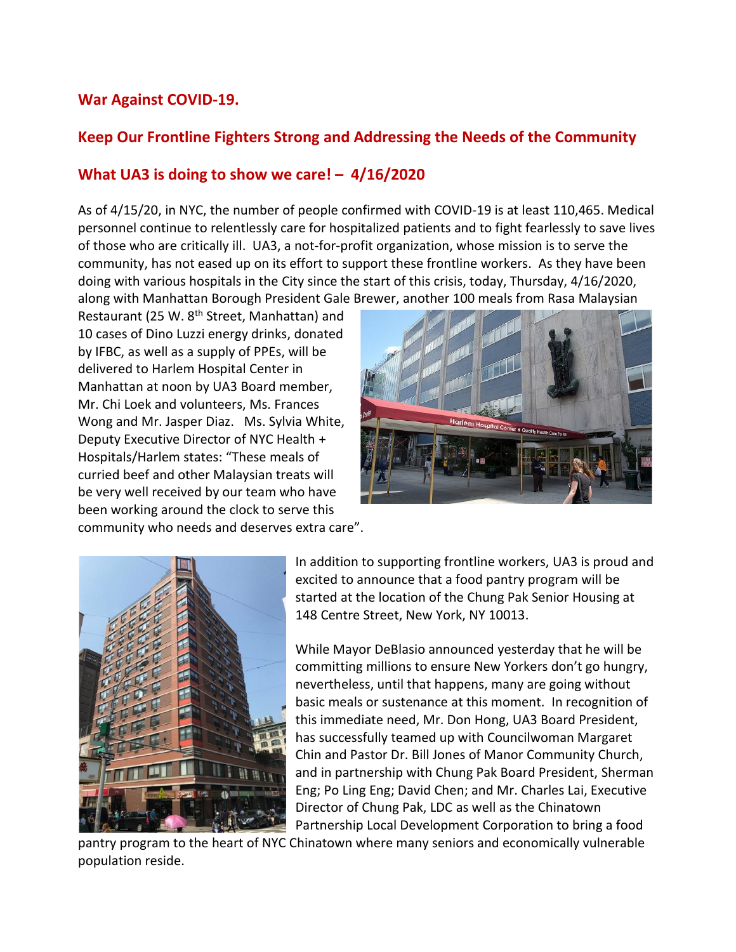## **War Against COVID-19.**

## **Keep Our Frontline Fighters Strong and Addressing the Needs of the Community**

## **What UA3 is doing to show we care! – 4/16/2020**

As of 4/15/20, in NYC, the number of people confirmed with COVID-19 is at least 110,465. Medical personnel continue to relentlessly care for hospitalized patients and to fight fearlessly to save lives of those who are critically ill. UA3, a not-for-profit organization, whose mission is to serve the community, has not eased up on its effort to support these frontline workers. As they have been doing with various hospitals in the City since the start of this crisis, today, Thursday, 4/16/2020, along with Manhattan Borough President Gale Brewer, another 100 meals from Rasa Malaysian

Restaurant (25 W. 8<sup>th</sup> Street, Manhattan) and 10 cases of Dino Luzzi energy drinks, donated by IFBC, as well as a supply of PPEs, will be delivered to Harlem Hospital Center in Manhattan at noon by UA3 Board member, Mr. Chi Loek and volunteers, Ms. Frances Wong and Mr. Jasper Diaz. Ms. Sylvia White, Deputy Executive Director of NYC Health + Hospitals/Harlem states: "These meals of curried beef and other Malaysian treats will be very well received by our team who have been working around the clock to serve this community who needs and deserves extra care".





In addition to supporting frontline workers, UA3 is proud and excited to announce that a food pantry program will be started at the location of the Chung Pak Senior Housing at 148 Centre Street, New York, NY 10013.

While Mayor DeBlasio announced yesterday that he will be committing millions to ensure New Yorkers don't go hungry, nevertheless, until that happens, many are going without basic meals or sustenance at this moment. In recognition of this immediate need, Mr. Don Hong, UA3 Board President, has successfully teamed up with Councilwoman Margaret Chin and Pastor Dr. Bill Jones of Manor Community Church, and in partnership with Chung Pak Board President, Sherman Eng; Po Ling Eng; David Chen; and Mr. Charles Lai, Executive Director of Chung Pak, LDC as well as the Chinatown Partnership Local Development Corporation to bring a food

pantry program to the heart of NYC Chinatown where many seniors and economically vulnerable population reside.